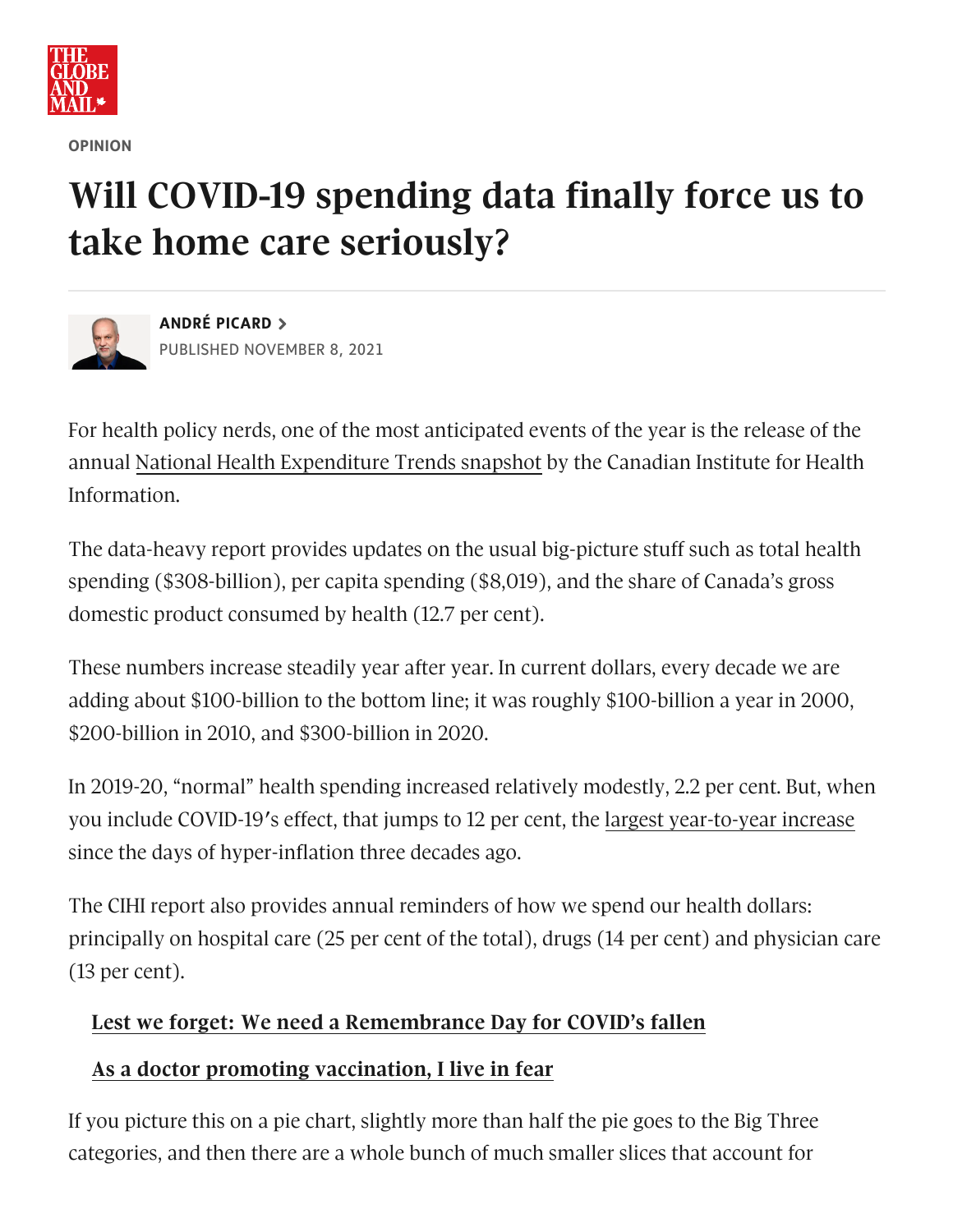

**OPINION**

## **Will COVID-19 spending data finally force us to take home care seriously?**



**ANDRÉ [PICARD](https://www.theglobeandmail.com/authors/andre-picard/)** PUBLISHED NOVEMBER 8, 2021

For health policy nerds, one of the most anticipated events of the year is the release of the annual National Health [Expenditure](https://www.cihi.ca/en/national-health-expenditure-trends-2021-snapshot) Trends snapshot by the Canadian Institute for Health Information.

The data-heavy report provides updates on the usual big-picture stuff such as total health spending (\$308-billion), per capita spending (\$8,019), and the share of Canada's gross domestic product consumed by health (12.7 per cent).

These numbers increase steadily year after year. In current dollars, every decade we are adding about \$100-billion to the bottom line; it was roughly \$100-billion a year in 2000, \$200-billion in 2010, and \$300-billion in 2020.

In 2019-20, "normal" health spending increased relatively modestly, 2.2 per cent. But, when you include COVID-19′s effect, that jumps to 12 per cent, the largest [year-to-year](https://www.theglobeandmail.com/canada/article-health-care-spending-in-canada-to-surge-beyond-300-billion-due-to/) increase since the days of hyper-inflation three decades ago.

The CIHI report also provides annual reminders of how we spend our health dollars: principally on hospital care (25 per cent of the total), drugs (14 per cent) and physician care (13 per cent).

## **Lest we forget: We need a [Remembrance](https://www.theglobeandmail.com/opinion/article-lest-we-forget-we-need-a-remembrance-day-for-covids-fallen/) Day for COVID's fallen**

## **As a doctor promoting [vaccination,](https://www.theglobeandmail.com/opinion/article-as-a-doctor-promoting-vaccination-i-live-in-fear/) I live in fear**

If you picture this on a pie chart, slightly more than half the pie goes to the Big Three categories, and then there are a whole bunch of much smaller slices that account for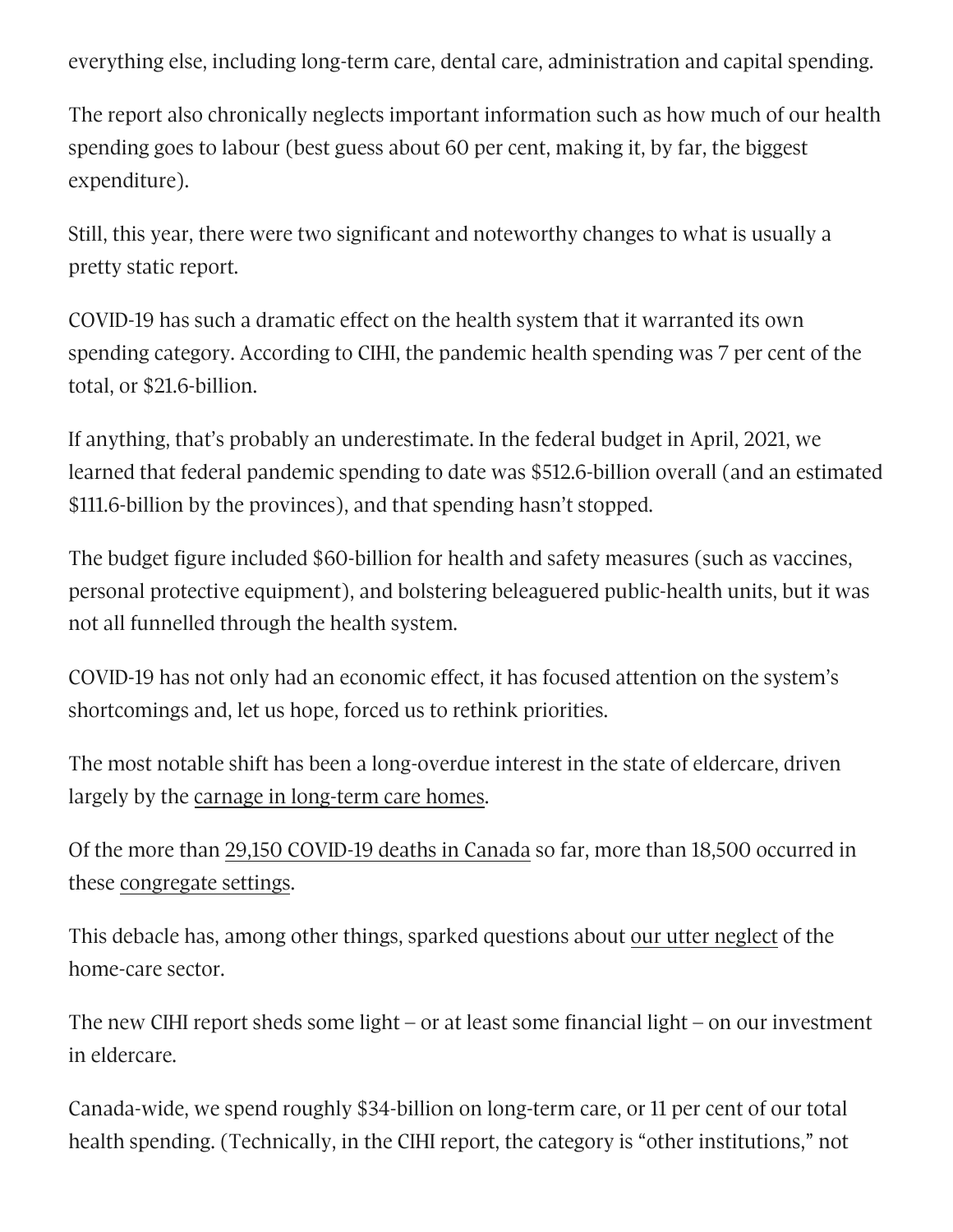everything else, including long-term care, dental care, administration and capital spending.

The report also chronically neglects important information such as how much of our health spending goes to labour (best guess about 60 per cent, making it, by far, the biggest expenditure).

Still, this year, there were two significant and noteworthy changes to what is usually a pretty static report.

COVID-19 has such a dramatic effect on the health system that it warranted its own spending category. According to CIHI, the pandemic health spending was 7 per cent of the total, or \$21.6-billion.

If anything, that's probably an underestimate. In the federal budget in April, 2021, we learned that federal pandemic spending to date was \$512.6-billion overall (and an estimated \$111.6-billion by the provinces), and that spending hasn't stopped.

The budget figure included \$60-billion for health and safety measures (such as vaccines, personal protective equipment), and bolstering beleaguered public-health units, but it was not all funnelled through the health system.

COVID-19 has not only had an economic effect, it has focused attention on the system's shortcomings and, let us hope, forced us to rethink priorities.

The most notable shift has been a long-overdue interest in the state of eldercare, driven largely by the carnage in [long-term](https://www.theglobeandmail.com/canada/article-seniors-care-shouldnt-be-a-horror-show-even-when-the-pandemic-is/) care homes.

Of the more than 29,150 [COVID-19](https://covid19tracker.ca/) deaths in Canada so far, more than 18,500 occurred in these [congregate](https://docs.google.com/spreadsheets/u/0/d/1M_RzojK0vwF9nAozI7aoyLpPU8EA1JEqO6rq0g1iebU/htmlview) settings.

This debacle has, among other things, sparked questions about our utter [neglect](https://www.theglobeandmail.com/opinion/article-in-the-stay-at-home-era-why-have-we-so-sorely-neglected-home-care/) of the home-care sector.

The new CIHI report sheds some light – or at least some financial light – on our investment in eldercare.

Canada-wide, we spend roughly \$34-billion on long-term care, or 11 per cent of our total health spending. (Technically, in the CIHI report, the category is "other institutions," not